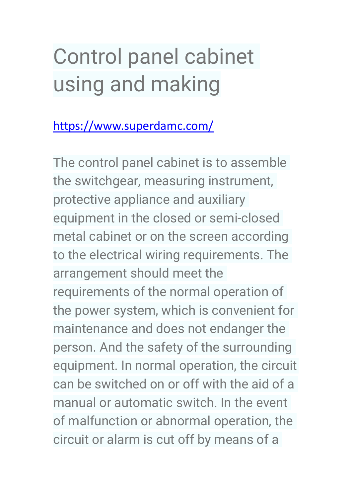# Control panel cabinet using and making

## <https://www.superdamc.com/>

The control panel cabinet is to assemble the switchgear, measuring instrument, protective appliance and auxiliary equipment in the closed or semi-closed metal cabinet or on the screen according to the electrical wiring requirements. The arrangement should meet the requirements of the normal operation of the power system, which is convenient for maintenance and does not endanger the person. And the safety of the surrounding equipment. In normal operation, the circuit can be switched on or off with the aid of a manual or automatic switch. In the event of malfunction or abnormal operation, the circuit or alarm is cut off by means of a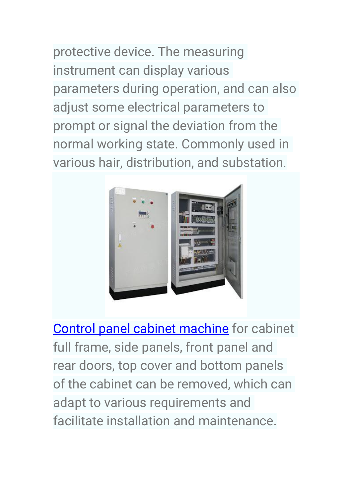protective device. The measuring instrument can display various parameters during operation, and can also adjust some electrical parameters to prompt or signal the deviation from the normal working state. Commonly used in various hair, distribution, and substation.



[Control panel cabinet](https://www.superdamc.com/cabinet-box-forming-machine/electrical-cabinet-frame-roll-forming-machine.html) machine for cabinet full frame, side panels, front panel and rear doors, top cover and bottom panels of the cabinet can be removed, which can adapt to various requirements and facilitate installation and maintenance.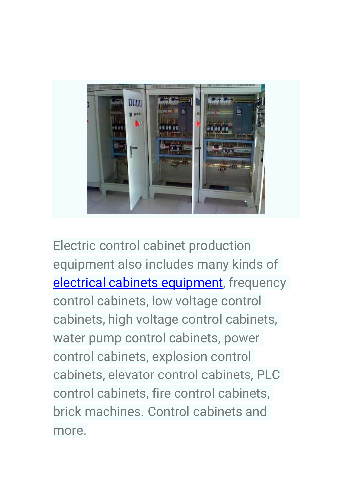

Electric control cabinet production equipment also includes many kinds of electrical cabinets [equipment,](https://www.superdamc.com/cabinet-box-forming-machine/electrical-cabinet-frame-roll-forming-machine.html) frequency control cabinets, low voltage control cabinets, high voltage control cabinets, water pump control cabinets, power control cabinets, explosion control cabinets, elevator control cabinets, PLC control cabinets, fire control cabinets, brick machines. Control cabinets and more.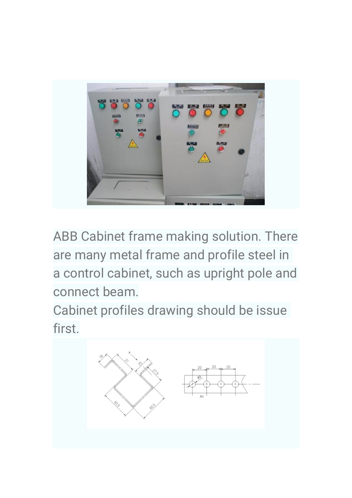

ABB Cabinet frame making solution. There are many metal frame and profile steel in a control cabinet, such as upright pole and connect beam.

Cabinet profiles drawing should be issue first.

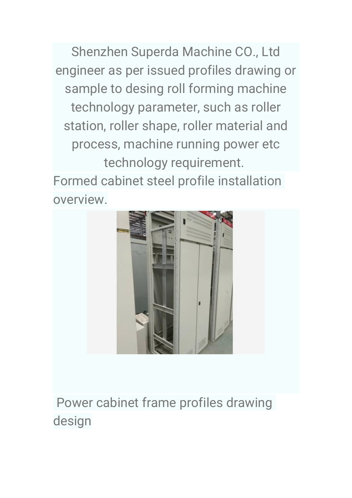Shenzhen Superda Machine CO., Ltd engineer as per issued profiles drawing or sample to desing roll forming machine technology parameter, such as roller station, roller shape, roller material and process, machine running power etc technology requirement. Formed cabinet steel profile installation

overview.



Power cabinet frame profiles drawing design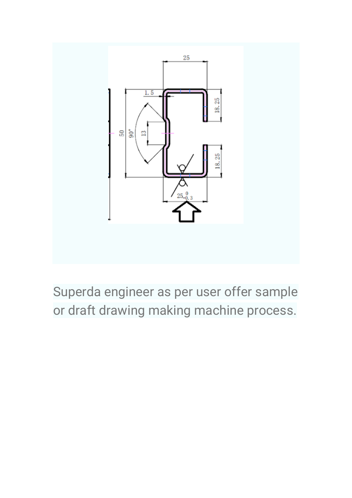

Superda engineer as per user offer sample or draft drawing making machine process.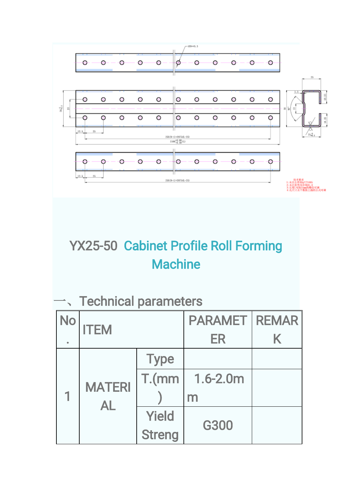

# YX25-50 [Cabinet Profile Roll Forming](http://www.superdamc.com/)  **[Machine](http://www.superdamc.com/)**

#### 一、Technical parameters

| No | <b>ITEM</b>          |               | <b>PARAMET   REMAR  </b> |   |
|----|----------------------|---------------|--------------------------|---|
|    |                      |               | ER                       | K |
|    | <b>MATERI</b><br>AI. | <b>Type</b>   |                          |   |
|    |                      | T.(mm)        | $1.6 - 2.0m$             |   |
|    |                      |               | m                        |   |
|    |                      | Yield         | <b>G300</b>              |   |
|    |                      | <b>Streng</b> |                          |   |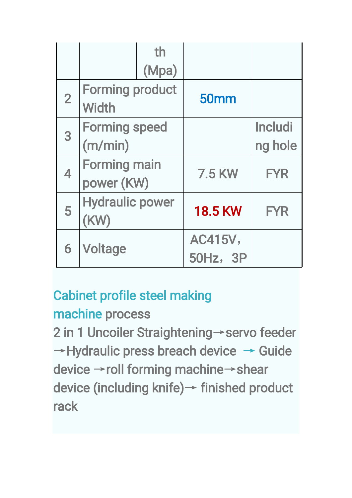|                | th                     |                 |                |
|----------------|------------------------|-----------------|----------------|
|                | (Mpa)                  |                 |                |
| $\overline{2}$ | <b>Forming product</b> | <b>50mm</b>     |                |
|                | <b>Width</b>           |                 |                |
| 3              | <b>Forming speed</b>   |                 | <b>Includi</b> |
|                | (m/min)                |                 | ng hole        |
| 4              | <b>Forming main</b>    | <b>7.5 KW</b>   | <b>FYR</b>     |
|                | power (KW)             |                 |                |
| 5              | <b>Hydraulic power</b> | <b>18.5 KW</b>  | <b>FYR</b>     |
|                | (KW)                   |                 |                |
| 6              |                        | <b>AC415V,</b>  |                |
|                | Voltage                | <b>50Hz, 3P</b> |                |

## [Cabinet profile steel making](https://www.youtube.com/watch?v=NSG1VQtpncw&feature=youtu.be)

## [machine](https://www.youtube.com/watch?v=NSG1VQtpncw&feature=youtu.be) process

2 in 1 Uncoiler Straightening→servo feeder  $\rightarrow$  Hydraulic press breach device  $\rightarrow$  Guide device →roll forming machine→shear device (including knife)→ finished product rack